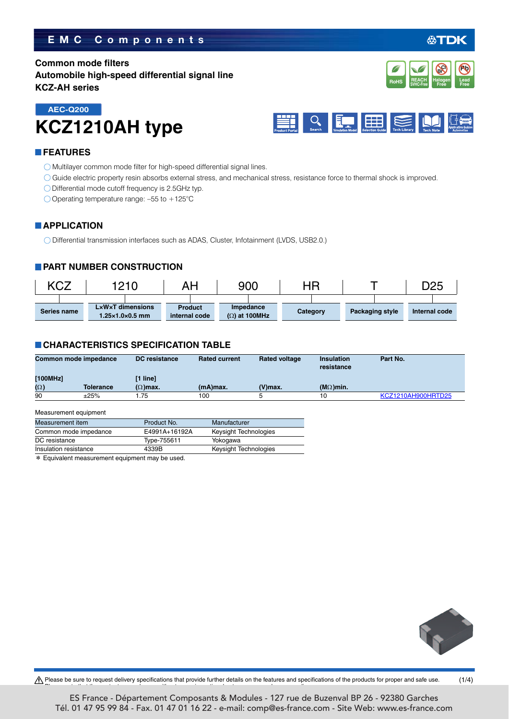### **EMC Components**

#### **Common mode filters Automobile high-speed differential signal line KCZ-AH series**





#### **FEATURES**

- O Multilayer common mode filter for high-speed differential signal lines.
- Guide electric property resin absorbs external stress, and mechanical stress, resistance force to thermal shock is improved.
- Differential mode cutoff frequency is 2.5GHz typ.
- Operating temperature range: –55 to +125°C

#### **APPLICATION**

Differential transmission interfaces such as ADAS, Cluster, Infotainment (LVDS, USB2.0.)

#### **PART NUMBER CONSTRUCTION**

| <b>KCZ</b>  | 1210                                                            |                                 | 900                               | ΗR       |                 | D25           |
|-------------|-----------------------------------------------------------------|---------------------------------|-----------------------------------|----------|-----------------|---------------|
| Series name | $L \times W \times T$ dimensions<br>$1.25\times1.0\times0.5$ mm | <b>Product</b><br>internal code | Impedance<br>$(\Omega)$ at 100MHz | Category | Packaging style | Internal code |

#### **CHARACTERISTICS SPECIFICATION TABLE**

| Common mode impedance |                  | <b>DC</b> resistance | <b>Rated current</b> | <b>Rated voltage</b> | <b>Insulation</b><br>resistance | Part No.           |
|-----------------------|------------------|----------------------|----------------------|----------------------|---------------------------------|--------------------|
| [100MHz]              |                  | [1 line]             |                      |                      |                                 |                    |
| $(\Omega)$            | <b>Tolerance</b> | $(\Omega)$ max.      | (mA)max.             | $(V)$ max.           | $(M\Omega)$ min.                |                    |
| 90                    | ±25%             | 1.75                 | 100                  |                      | 10                              | KCZ1210AH900HRTD25 |

#### Measurement equipment

| Measurement item      | Product No.   | Manufacturer          |
|-----------------------|---------------|-----------------------|
| Common mode impedance | E4991A+16192A | Keysight Technologies |
| DC resistance         | Type-755611   | Yokogawa              |
| Insulation resistance | 4339B         | Keysight Technologies |

Please note that the contents may change without any prior notice due to reasons such as upgrading.

\* Equivalent measurement equipment may be used.



∰TDK

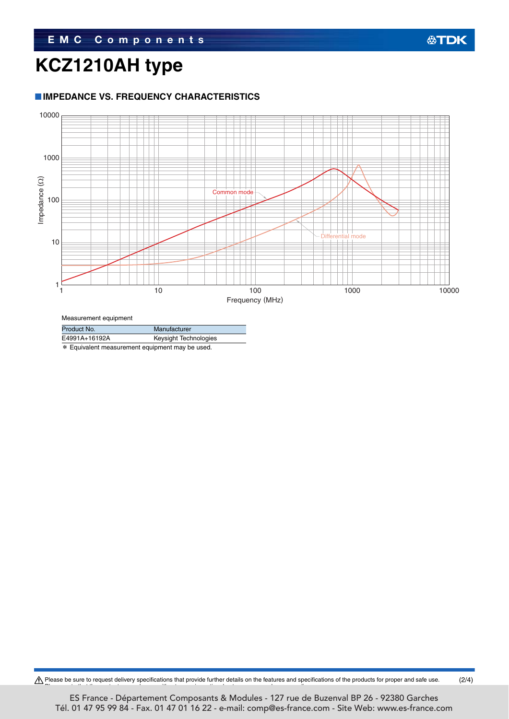# **KCZ1210AH type**

#### **IMPEDANCE VS. FREQUENCY CHARACTERISTICS**



Measurement equipment

| Product No.   | Manufacturer          |
|---------------|-----------------------|
| E4991A+16192A | Keysight Technologies |

\* Equivalent measurement equipment may be used.

 $\bigwedge$  Please be sure to request delivery specifications that provide further details on the features and specifications of the products for proper and safe use. (2/4)

Please note that the contents may change without any prior notice due to reasons such as upgrading.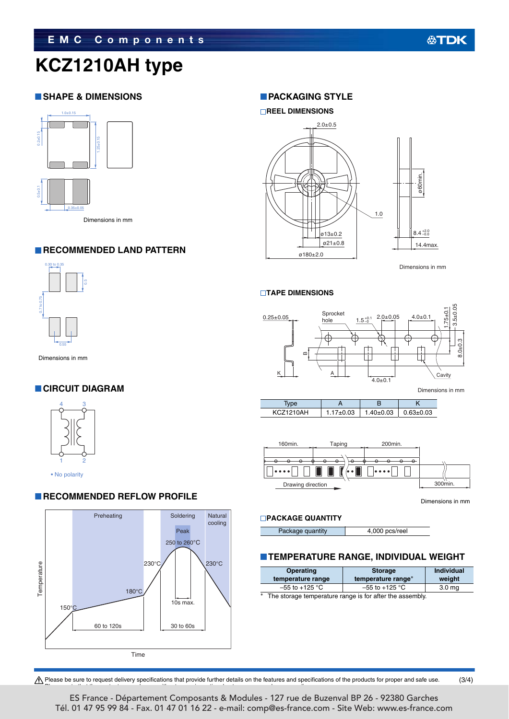# **KCZ1210AH type**

#### **SHAPE & DIMENSIONS**



#### **RECOMMENDED LAND PATTERN**



**CIRCUIT DIAGRAM**

4 3

1 2 • No polarity

**PACKAGING STYLE** 

## **REEL DIMENSIONS**



Dimensions in mm

#### **TAPE DIMENSIONS**



| <b>KCZ1210AH</b> | $1.17 + 0.03$ | $1.40 \pm 0.03$ | $0.63 + 0.03$ |
|------------------|---------------|-----------------|---------------|



Dimensions in mm

#### **PACKAGE QUANTITY**

| Package quantity | 4,000 pcs/reel |
|------------------|----------------|

#### **TEMPERATURE RANGE, INDIVIDUAL WEIGHT**

| <b>Operating</b><br>temperature range                      | <b>Storage</b><br>temperature range* | <b>Individual</b><br>weight |  |
|------------------------------------------------------------|--------------------------------------|-----------------------------|--|
| $-55$ to $+125$ °C                                         | $-55$ to $+125$ °C                   | 3.0 <sub>mg</sub>           |  |
| * The storage temperature range is for after the assembly. |                                      |                             |  |



#### $\bigwedge$  Please be sure to request delivery specifications that provide further details on the features and specifications of the products for proper and safe use. Please note that the contents may change without any prior notice due to reasons such as upgrading. (3/4)

Г

Tél. 01 47 95 99 84 - Fax. 01 47 01 16 22 - e-mail: comp@es-france.com - Site Web: www.es-france.com ES France - Département Composants & Modules - 127 rue de Buzenval BP 26 - 92380 Garches

### **RECOMMENDED REFLOW PROFILE**